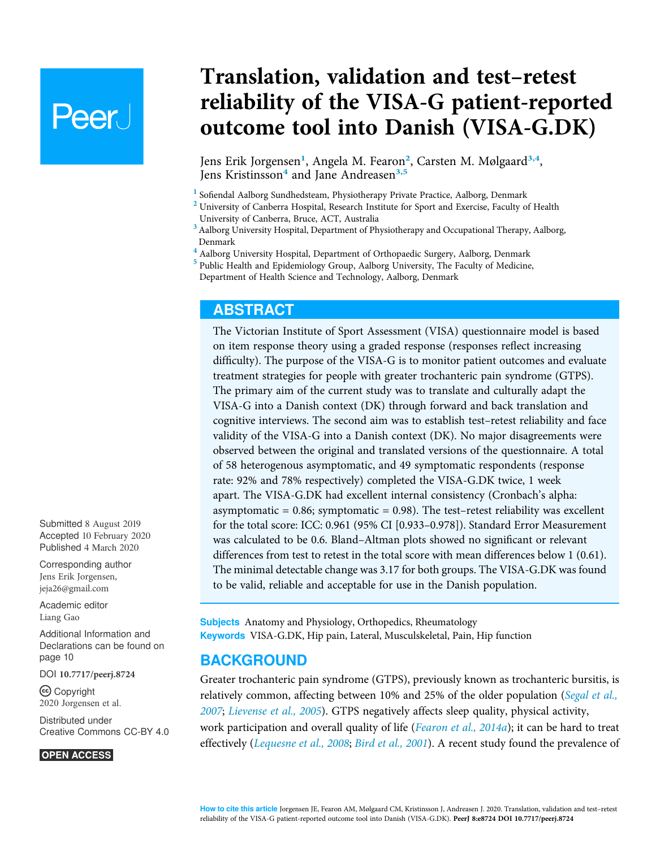# **Peer**

Translation, validation and test–retest reliability of the VISA-G patient-reported outcome tool into Danish (VISA-G.DK)

Jens Erik Jorgensen<sup>[1](#page-0-0)</sup>, Angela M. Fearon<sup>[2](#page-0-1)</sup>, Carsten M. Mølgaard<sup>[3,](#page-0-2)[4](#page-0-3)</sup>, Jens Kristinsson<sup>[4](#page-0-3)</sup> and Jane Andreasen<sup>[3,](#page-0-2)[5](#page-0-4)</sup>

<span id="page-0-1"></span><span id="page-0-0"></span>

 $^1$  Sofiendal Aalborg Sundhedsteam, Physiotherapy Private Practice, Aalborg, Denmark<br><sup>2</sup> University of Canberra Hospital, Research Institute for Sport and Exercise, Faculty of Health University of Canberra, Bruce, ACT, Australia

<span id="page-0-2"></span> $^3$  Aalborg University Hospital, Department of Physiotherapy and Occupational Therapy, Aalborg, Denmark

<span id="page-0-3"></span><sup>4</sup> Aalborg University Hospital, Department of Orthopaedic Surgery, Aalborg, Denmark

<span id="page-0-4"></span><sup>5</sup> Public Health and Epidemiology Group, Aalborg University, The Faculty of Medicine, Department of Health Science and Technology, Aalborg, Denmark

# ABSTRACT

The Victorian Institute of Sport Assessment (VISA) questionnaire model is based on item response theory using a graded response (responses reflect increasing difficulty). The purpose of the VISA-G is to monitor patient outcomes and evaluate treatment strategies for people with greater trochanteric pain syndrome (GTPS). The primary aim of the current study was to translate and culturally adapt the VISA-G into a Danish context (DK) through forward and back translation and cognitive interviews. The second aim was to establish test–retest reliability and face validity of the VISA-G into a Danish context (DK). No major disagreements were observed between the original and translated versions of the questionnaire. A total of 58 heterogenous asymptomatic, and 49 symptomatic respondents (response rate: 92% and 78% respectively) completed the VISA-G.DK twice, 1 week apart. The VISA-G.DK had excellent internal consistency (Cronbach's alpha: asymptomatic =  $0.86$ ; symptomatic =  $0.98$ ). The test-retest reliability was excellent for the total score: ICC: 0.961 (95% CI [0.933–0.978]). Standard Error Measurement was calculated to be 0.6. Bland–Altman plots showed no significant or relevant differences from test to retest in the total score with mean differences below 1 (0.61). The minimal detectable change was 3.17 for both groups. The VISA-G.DK was found to be valid, reliable and acceptable for use in the Danish population.

Subjects Anatomy and Physiology, Orthopedics, Rheumatology Keywords VISA-G.DK, Hip pain, Lateral, Musculskeletal, Pain, Hip function

# **BACKGROUND**

Greater trochanteric pain syndrome (GTPS), previously known as trochanteric bursitis, is relatively common, affecting between 10% and 25% of the older population ([Segal et al.,](#page-13-0) [2007](#page-13-0); [Lievense et al., 2005](#page-12-0)). GTPS negatively affects sleep quality, physical activity, work participation and overall quality of life (*[Fearon et al., 2014a](#page-11-0)*); it can be hard to treat effectively ([Lequesne et al., 2008](#page-12-1); [Bird et al., 2001](#page-10-0)). A recent study found the prevalence of

Submitted 8 August 2019 Accepted 10 February 2020 Published 4 March 2020

Corresponding author Jens Erik Jorgensen, [jeja26@gmail.com](mailto:jeja26@�gmail.�com)

[Academic editor](https://peerj.com/academic-boards/editors/) [Liang Gao](https://peerj.com/academic-boards/editors/)

[Additional Information and](#page-9-0) [Declarations can be found on](#page-9-0) [page 10](#page-9-0)

DOI [10.7717/peerj.8724](http://dx.doi.org/10.7717/peerj.8724)

Copyright

2020 Jorgensen et al. [Distributed under](http://www.creativecommons.org/licenses/by/4.0/) [Creative Commons CC-BY 4.0](http://www.creativecommons.org/licenses/by/4.0/)

#### **OPEN ACCESS**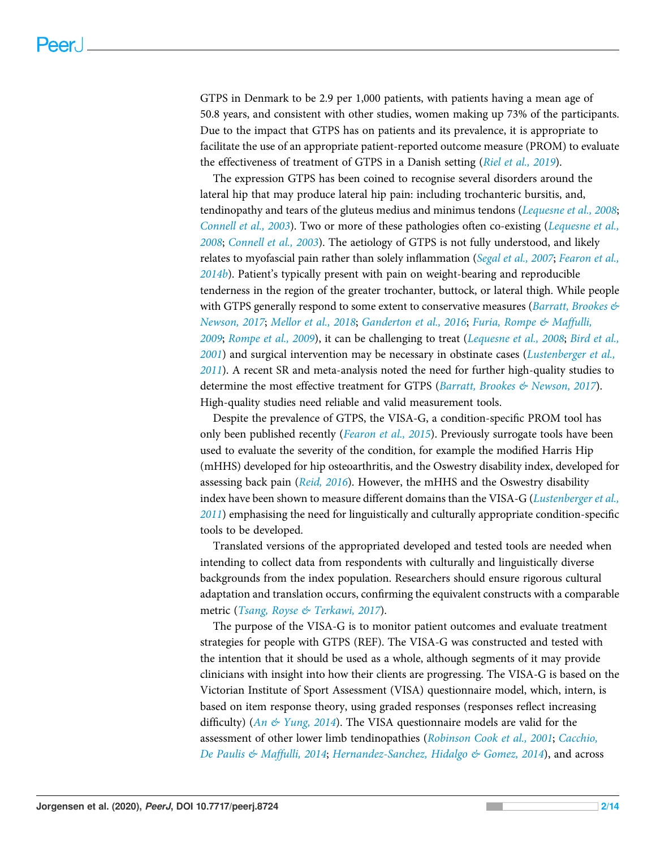GTPS in Denmark to be 2.9 per 1,000 patients, with patients having a mean age of 50.8 years, and consistent with other studies, women making up 73% of the participants. Due to the impact that GTPS has on patients and its prevalence, it is appropriate to facilitate the use of an appropriate patient-reported outcome measure (PROM) to evaluate the effectiveness of treatment of GTPS in a Danish setting ([Riel et al., 2019](#page-12-2)).

The expression GTPS has been coined to recognise several disorders around the lateral hip that may produce lateral hip pain: including trochanteric bursitis, and, tendinopathy and tears of the gluteus medius and minimus tendons ([Lequesne et al., 2008](#page-12-1); [Connell et al., 2003](#page-10-1)). Two or more of these pathologies often co-existing ([Lequesne et al.,](#page-12-1) [2008](#page-12-1); [Connell et al., 2003](#page-10-1)). The aetiology of GTPS is not fully understood, and likely relates to myofascial pain rather than solely inflammation ([Segal et al., 2007](#page-13-0); [Fearon et al.,](#page-11-1)  $2014b$ ). Patient's typically present with pain on weight-bearing and reproducible tenderness in the region of the greater trochanter, buttock, or lateral thigh. While people with GTPS generally respond to some extent to conservative measures (*Barratt, Brookes*  $\mathcal{L}$ [Newson, 2017](#page-10-2); [Mellor et al., 2018](#page-12-3); [Ganderton et al., 2016](#page-11-2); [Furia, Rompe & Maffulli,](#page-11-3) [2009](#page-11-3); [Rompe et al., 2009](#page-13-1)), it can be challenging to treat ([Lequesne et al., 2008](#page-12-1); [Bird et al.,](#page-10-0) [2001](#page-10-0)) and surgical intervention may be necessary in obstinate cases ([Lustenberger et al.,](#page-12-4) [2011](#page-12-4)). A recent SR and meta-analysis noted the need for further high-quality studies to determine the most effective treatment for GTPS (*Barratt, Brookes*  $\&$  *Newson, 2017*). High-quality studies need reliable and valid measurement tools.

Despite the prevalence of GTPS, the VISA-G, a condition-specific PROM tool has only been published recently ([Fearon et al., 2015](#page-11-4)). Previously surrogate tools have been used to evaluate the severity of the condition, for example the modified Harris Hip (mHHS) developed for hip osteoarthritis, and the Oswestry disability index, developed for assessing back pain ([Reid, 2016](#page-12-5)). However, the mHHS and the Oswestry disability index have been shown to measure different domains than the VISA-G ([Lustenberger et al.,](#page-12-4) [2011](#page-12-4)) emphasising the need for linguistically and culturally appropriate condition-specific tools to be developed.

Translated versions of the appropriated developed and tested tools are needed when intending to collect data from respondents with culturally and linguistically diverse backgrounds from the index population. Researchers should ensure rigorous cultural adaptation and translation occurs, confirming the equivalent constructs with a comparable metric ([Tsang, Royse & Terkawi, 2017](#page-13-2)).

The purpose of the VISA-G is to monitor patient outcomes and evaluate treatment strategies for people with GTPS (REF). The VISA-G was constructed and tested with the intention that it should be used as a whole, although segments of it may provide clinicians with insight into how their clients are progressing. The VISA-G is based on the Victorian Institute of Sport Assessment (VISA) questionnaire model, which, intern, is based on item response theory, using graded responses (responses reflect increasing difficulty) (An  $\&$  Yung, 2014). The VISA questionnaire models are valid for the assessment of other lower limb tendinopathies ([Robinson Cook et al., 2001](#page-12-6); [Cacchio,](#page-10-4) [De Paulis & Maffulli, 2014](#page-10-4); [Hernandez-Sanchez, Hidalgo & Gomez, 2014](#page-11-5)), and across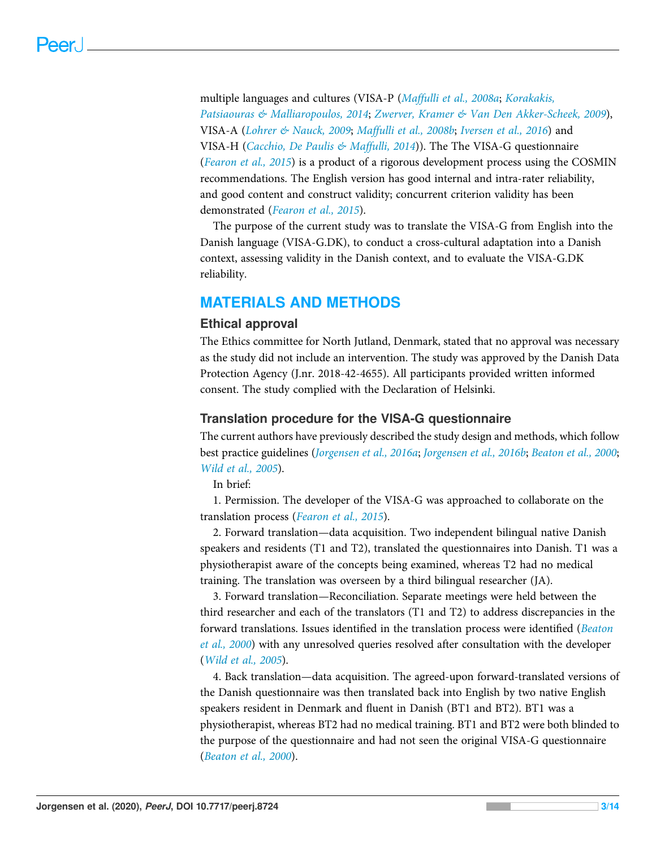multiple languages and cultures (VISA-P ([Maffulli et al., 2008a](#page-12-7); [Korakakis,](#page-12-8) [Patsiaouras & Malliaropoulos, 2014](#page-12-8); [Zwerver, Kramer & Van Den Akker-Scheek, 2009](#page-13-3)), VISA-A ([Lohrer & Nauck, 2009](#page-12-9); [Maffulli et al., 2008b](#page-12-10); [Iversen et al., 2016](#page-11-6)) and VISA-H ([Cacchio, De Paulis & Maffulli, 2014](#page-10-4))). The The VISA-G questionnaire ([Fearon et al., 2015](#page-11-4)) is a product of a rigorous development process using the COSMIN recommendations. The English version has good internal and intra-rater reliability, and good content and construct validity; concurrent criterion validity has been demonstrated ([Fearon et al., 2015](#page-11-4)).

The purpose of the current study was to translate the VISA-G from English into the Danish language (VISA-G.DK), to conduct a cross-cultural adaptation into a Danish context, assessing validity in the Danish context, and to evaluate the VISA-G.DK reliability.

# MATERIALS AND METHODS

#### Ethical approval

The Ethics committee for North Jutland, Denmark, stated that no approval was necessary as the study did not include an intervention. The study was approved by the Danish Data Protection Agency (J.nr. 2018-42-4655). All participants provided written informed consent. The study complied with the Declaration of Helsinki.

# Translation procedure for the VISA-G questionnaire

The current authors have previously described the study design and methods, which follow best practice guidelines ([Jorgensen et al., 2016a](#page-11-7); [Jorgensen et al., 2016b](#page-12-11); [Beaton et al., 2000](#page-10-5); [Wild et al., 2005](#page-13-4)).

In brief:

1. Permission. The developer of the VISA-G was approached to collaborate on the translation process ([Fearon et al., 2015](#page-11-4)).

2. Forward translation—data acquisition. Two independent bilingual native Danish speakers and residents (T1 and T2), translated the questionnaires into Danish. T1 was a physiotherapist aware of the concepts being examined, whereas T2 had no medical training. The translation was overseen by a third bilingual researcher (JA).

3. Forward translation—Reconciliation. Separate meetings were held between the third researcher and each of the translators (T1 and T2) to address discrepancies in the forward translations. Issues identified in the translation process were identified ([Beaton](#page-10-5) [et al., 2000](#page-10-5)) with any unresolved queries resolved after consultation with the developer ([Wild et al., 2005](#page-13-4)).

4. Back translation—data acquisition. The agreed-upon forward-translated versions of the Danish questionnaire was then translated back into English by two native English speakers resident in Denmark and fluent in Danish (BT1 and BT2). BT1 was a physiotherapist, whereas BT2 had no medical training. BT1 and BT2 were both blinded to the purpose of the questionnaire and had not seen the original VISA-G questionnaire ([Beaton et al., 2000](#page-10-5)).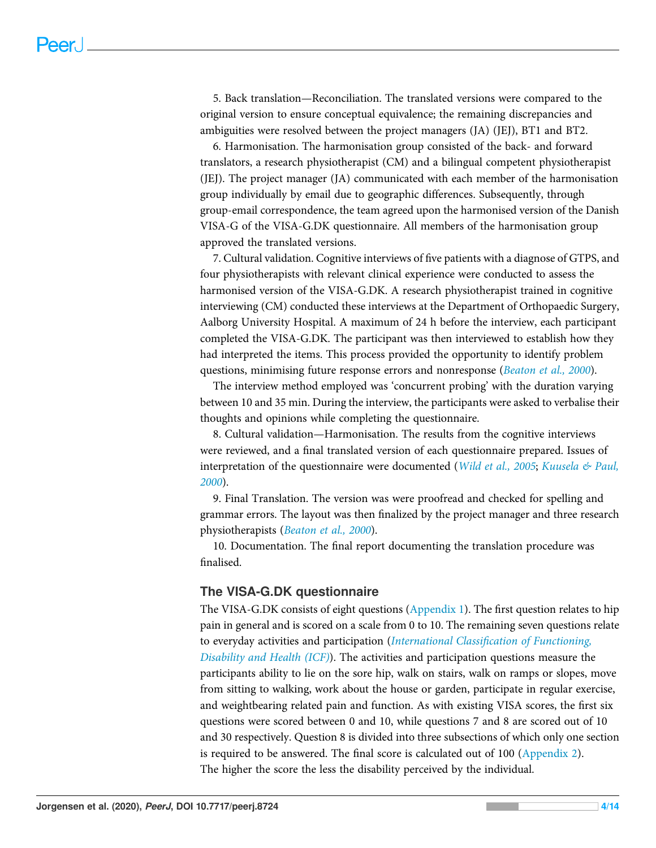5. Back translation—Reconciliation. The translated versions were compared to the original version to ensure conceptual equivalence; the remaining discrepancies and ambiguities were resolved between the project managers (JA) (JEJ), BT1 and BT2.

6. Harmonisation. The harmonisation group consisted of the back- and forward translators, a research physiotherapist (CM) and a bilingual competent physiotherapist (JEJ). The project manager (JA) communicated with each member of the harmonisation group individually by email due to geographic differences. Subsequently, through group-email correspondence, the team agreed upon the harmonised version of the Danish VISA-G of the VISA-G.DK questionnaire. All members of the harmonisation group approved the translated versions.

7. Cultural validation. Cognitive interviews of five patients with a diagnose of GTPS, and four physiotherapists with relevant clinical experience were conducted to assess the harmonised version of the VISA-G.DK. A research physiotherapist trained in cognitive interviewing (CM) conducted these interviews at the Department of Orthopaedic Surgery, Aalborg University Hospital. A maximum of 24 h before the interview, each participant completed the VISA-G.DK. The participant was then interviewed to establish how they had interpreted the items. This process provided the opportunity to identify problem questions, minimising future response errors and nonresponse ([Beaton et al., 2000](#page-10-5)).

The interview method employed was 'concurrent probing' with the duration varying between 10 and 35 min. During the interview, the participants were asked to verbalise their thoughts and opinions while completing the questionnaire.

8. Cultural validation—Harmonisation. The results from the cognitive interviews were reviewed, and a final translated version of each questionnaire prepared. Issues of interpretation of the questionnaire were documented ([Wild et al., 2005](#page-13-4); [Kuusela & Paul,](#page-12-12) [2000](#page-12-12)).

9. Final Translation. The version was were proofread and checked for spelling and grammar errors. The layout was then finalized by the project manager and three research physiotherapists ([Beaton et al., 2000](#page-10-5)).

10. Documentation. The final report documenting the translation procedure was finalised.

# The VISA-G.DK questionnaire

The VISA-G.DK consists of eight questions ([Appendix 1](http://dx.doi.org/10.7717/peerj.8724/supp-1)). The first question relates to hip pain in general and is scored on a scale from 0 to 10. The remaining seven questions relate to everyday activities and participation (International Classifi[cation of Functioning,](#page-11-8) [Disability and Health \(ICF\)](#page-11-8)). The activities and participation questions measure the participants ability to lie on the sore hip, walk on stairs, walk on ramps or slopes, move from sitting to walking, work about the house or garden, participate in regular exercise, and weightbearing related pain and function. As with existing VISA scores, the first six questions were scored between 0 and 10, while questions 7 and 8 are scored out of 10 and 30 respectively. Question 8 is divided into three subsections of which only one section is required to be answered. The final score is calculated out of 100 [\(Appendix 2](http://dx.doi.org/10.7717/peerj.8724/supp-2)). The higher the score the less the disability perceived by the individual.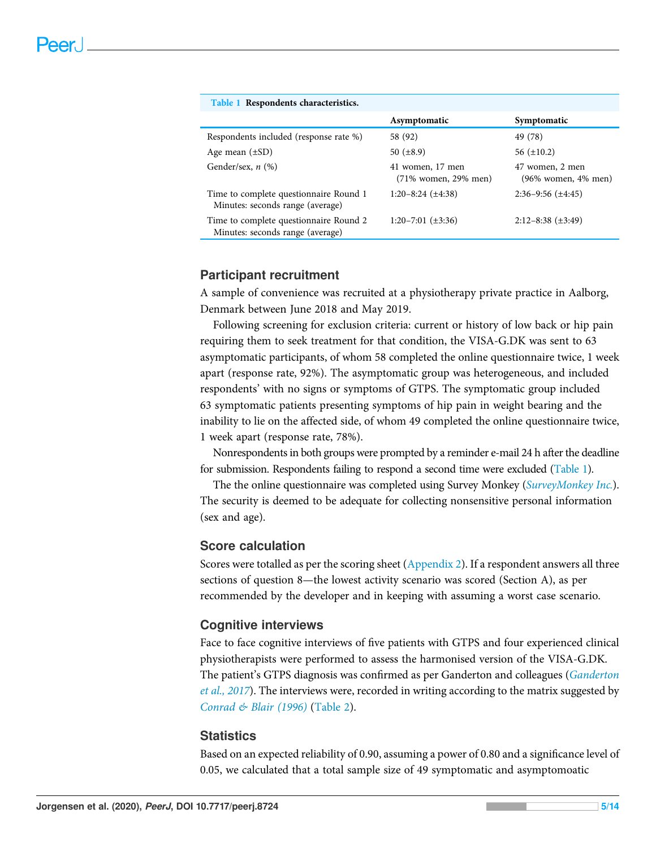<span id="page-4-0"></span>

| Table 1 Respondents characteristics.                                       |                                          |                                              |
|----------------------------------------------------------------------------|------------------------------------------|----------------------------------------------|
|                                                                            | Asymptomatic                             | Symptomatic                                  |
| Respondents included (response rate %)                                     | 58 (92)                                  | 49 (78)                                      |
| Age mean $(\pm SD)$                                                        | 50 $(\pm 8.9)$                           | 56 $(\pm 10.2)$                              |
| Gender/sex, $n$ (%)                                                        | 41 women, 17 men<br>(71% women, 29% men) | 47 women, 2 men<br>$(96\%$ women, $4\%$ men) |
| Time to complete questionnaire Round 1<br>Minutes: seconds range (average) | $1:20-8:24 \leq \pm 4:38$                | $2:36-9:56 \leq \pm 4:45$                    |
| Time to complete questionnaire Round 2<br>Minutes: seconds range (average) | $1:20-7:01 \leq \pm 3:36$                | $2:12-8:38 \ (\pm 3:49)$                     |
|                                                                            |                                          |                                              |

#### Participant recruitment

A sample of convenience was recruited at a physiotherapy private practice in Aalborg, Denmark between June 2018 and May 2019.

Following screening for exclusion criteria: current or history of low back or hip pain requiring them to seek treatment for that condition, the VISA-G.DK was sent to 63 asymptomatic participants, of whom 58 completed the online questionnaire twice, 1 week apart (response rate, 92%). The asymptomatic group was heterogeneous, and included respondents' with no signs or symptoms of GTPS. The symptomatic group included 63 symptomatic patients presenting symptoms of hip pain in weight bearing and the inability to lie on the affected side, of whom 49 completed the online questionnaire twice, 1 week apart (response rate, 78%).

Nonrespondents in both groups were prompted by a reminder e-mail 24 h after the deadline for submission. Respondents failing to respond a second time were excluded [\(Table 1\)](#page-4-0).

The the online questionnaire was completed using Survey Monkey ([SurveyMonkey Inc.](#page-13-5)). The security is deemed to be adequate for collecting nonsensitive personal information (sex and age).

# Score calculation

Scores were totalled as per the scoring sheet [\(Appendix 2\)](http://dx.doi.org/10.7717/peerj.8724/supp-2). If a respondent answers all three sections of question 8—the lowest activity scenario was scored (Section A), as per recommended by the developer and in keeping with assuming a worst case scenario.

#### Cognitive interviews

Face to face cognitive interviews of five patients with GTPS and four experienced clinical physiotherapists were performed to assess the harmonised version of the VISA-G.DK. The patient's GTPS diagnosis was confirmed as per [Ganderton](#page-11-9) and colleagues (Ganderton [et al., 2017](#page-11-9)). The interviews were, recorded in writing according to the matrix suggested by [Conrad & Blair \(1996\)](#page-11-10) ([Table 2](#page-5-0)).

#### **Statistics**

Based on an expected reliability of 0.90, assuming a power of 0.80 and a significance level of 0.05, we calculated that a total sample size of 49 symptomatic and asymptomoatic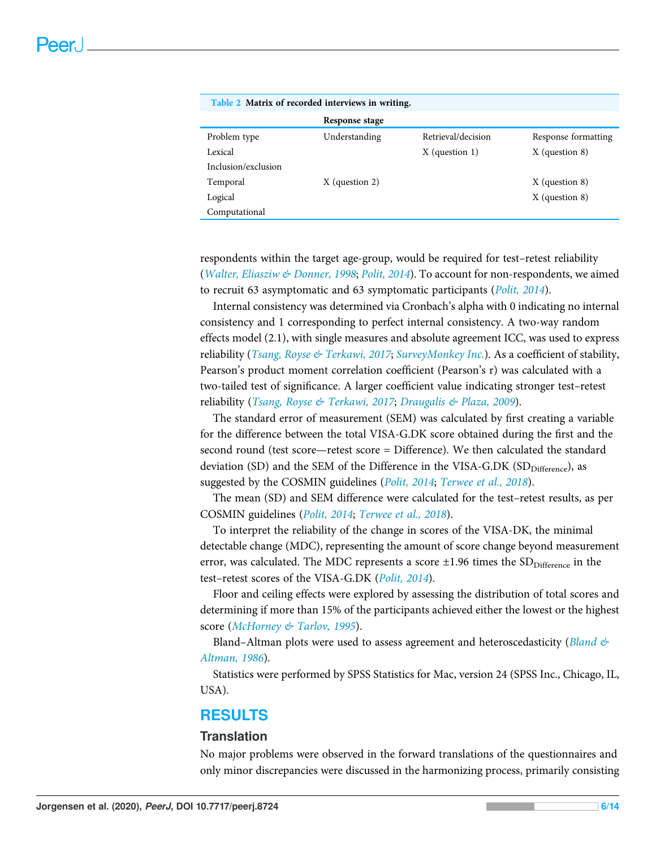<span id="page-5-0"></span>

| Table 2 Matrix of recorded interviews in writing. |                  |                    |                     |
|---------------------------------------------------|------------------|--------------------|---------------------|
|                                                   | Response stage   |                    |                     |
| Problem type                                      | Understanding    | Retrieval/decision | Response formatting |
| Lexical                                           |                  | $X$ (question 1)   | $X$ (question 8)    |
| Inclusion/exclusion                               |                  |                    |                     |
| Temporal                                          | $X$ (question 2) |                    | $X$ (question 8)    |
| Logical                                           |                  |                    | $X$ (question 8)    |
| Computational                                     |                  |                    |                     |

respondents within the target age-group, would be required for test–retest reliability ([Walter, Eliasziw & Donner, 1998](#page-13-6); [Polit, 2014](#page-12-13)). To account for non-respondents, we aimed to recruit 63 asymptomatic and 63 symptomatic participants ([Polit, 2014](#page-12-13)).

Internal consistency was determined via Cronbach's alpha with 0 indicating no internal consistency and 1 corresponding to perfect internal consistency. A two-way random effects model (2.1), with single measures and absolute agreement ICC, was used to express reliability ([Tsang, Royse & Terkawi, 2017](#page-13-2); [SurveyMonkey Inc.](#page-13-5)). As a coefficient of stability, Pearson's product moment correlation coefficient (Pearson's r) was calculated with a two-tailed test of significance. A larger coefficient value indicating stronger test–retest reliability ([Tsang, Royse & Terkawi, 2017](#page-13-2); [Draugalis & Plaza, 2009](#page-11-11)).

The standard error of measurement (SEM) was calculated by first creating a variable for the difference between the total VISA-G.DK score obtained during the first and the second round (test score—retest score = Difference). We then calculated the standard deviation (SD) and the SEM of the Difference in the VISA-G.DK (SD<sub>Difference</sub>), as suggested by the COSMIN guidelines ([Polit, 2014](#page-12-13); [Terwee et al., 2018](#page-13-7)).

The mean (SD) and SEM difference were calculated for the test–retest results, as per COSMIN guidelines ([Polit, 2014](#page-12-13); [Terwee et al., 2018](#page-13-7)).

To interpret the reliability of the change in scores of the VISA-DK, the minimal detectable change (MDC), representing the amount of score change beyond measurement error, was calculated. The MDC represents a score  $\pm 1.96$  times the SD<sub>Difference</sub> in the test-retest scores of the VISA-G.DK ([Polit, 2014](#page-12-13)).

Floor and ceiling effects were explored by assessing the distribution of total scores and determining if more than 15% of the participants achieved either the lowest or the highest score ([McHorney & Tarlov, 1995](#page-12-14)).

Bland–Altman plots were used to assess agreement and heteroscedasticity (*Bland*  $\&$ [Altman, 1986](#page-10-6)).

Statistics were performed by SPSS Statistics for Mac, version 24 (SPSS Inc., Chicago, IL, USA).

# RESULTS

# **Translation**

No major problems were observed in the forward translations of the questionnaires and only minor discrepancies were discussed in the harmonizing process, primarily consisting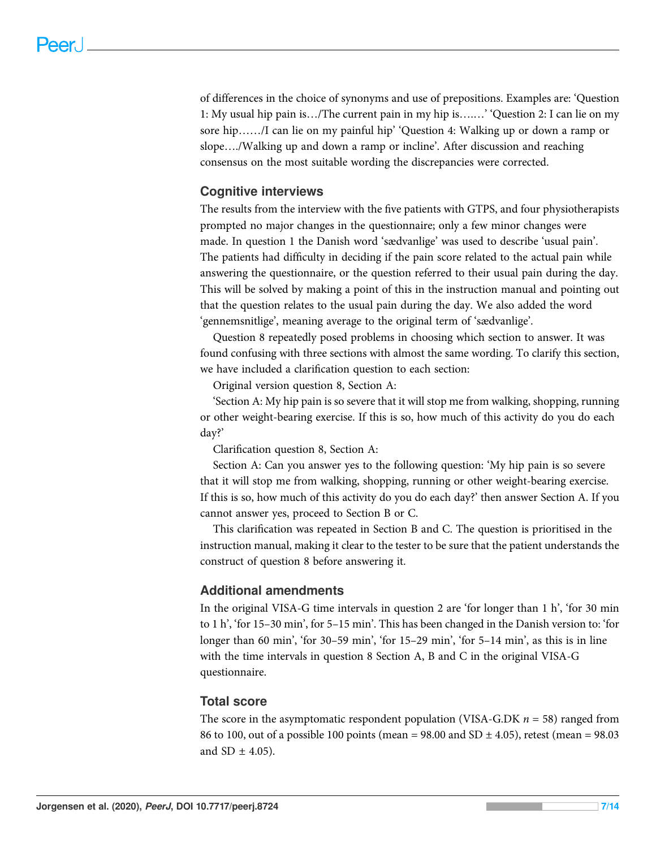of differences in the choice of synonyms and use of prepositions. Examples are: 'Question 1: My usual hip pain is…/The current pain in my hip is….…' 'Question 2: I can lie on my sore hip……/I can lie on my painful hip' 'Question 4: Walking up or down a ramp or slope…./Walking up and down a ramp or incline'. After discussion and reaching consensus on the most suitable wording the discrepancies were corrected.

# Cognitive interviews

The results from the interview with the five patients with GTPS, and four physiotherapists prompted no major changes in the questionnaire; only a few minor changes were made. In question 1 the Danish word 'sædvanlige' was used to describe 'usual pain'. The patients had difficulty in deciding if the pain score related to the actual pain while answering the questionnaire, or the question referred to their usual pain during the day. This will be solved by making a point of this in the instruction manual and pointing out that the question relates to the usual pain during the day. We also added the word 'gennemsnitlige', meaning average to the original term of 'sædvanlige'.

Question 8 repeatedly posed problems in choosing which section to answer. It was found confusing with three sections with almost the same wording. To clarify this section, we have included a clarification question to each section:

Original version question 8, Section A:

'Section A: My hip pain is so severe that it will stop me from walking, shopping, running or other weight-bearing exercise. If this is so, how much of this activity do you do each day?'

Clarification question 8, Section A:

Section A: Can you answer yes to the following question: 'My hip pain is so severe that it will stop me from walking, shopping, running or other weight-bearing exercise. If this is so, how much of this activity do you do each day?' then answer Section A. If you cannot answer yes, proceed to Section B or C.

This clarification was repeated in Section B and C. The question is prioritised in the instruction manual, making it clear to the tester to be sure that the patient understands the construct of question 8 before answering it.

#### Additional amendments

In the original VISA-G time intervals in question 2 are 'for longer than 1 h', 'for 30 min to 1 h', 'for 15–30 min', for 5–15 min'. This has been changed in the Danish version to: 'for longer than 60 min', 'for 30–59 min', 'for 15–29 min', 'for 5–14 min', as this is in line with the time intervals in question 8 Section A, B and C in the original VISA-G questionnaire.

# Total score

The score in the asymptomatic respondent population (VISA-G.DK  $n = 58$ ) ranged from 86 to 100, out of a possible 100 points (mean = 98.00 and SD  $\pm$  4.05), retest (mean = 98.03 and SD  $\pm$  4.05).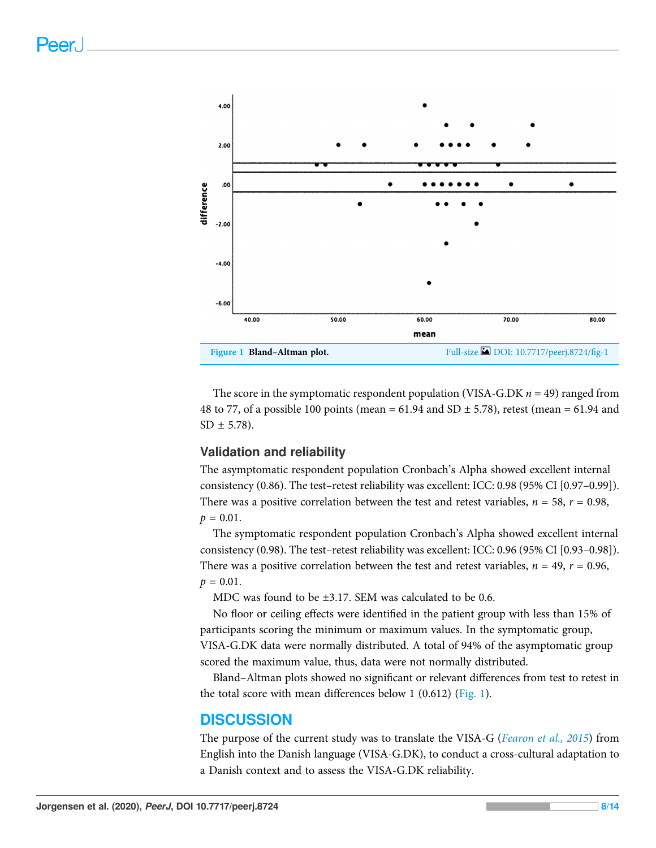<span id="page-7-0"></span>

The score in the symptomatic respondent population (VISA-G.DK  $n = 49$ ) ranged from 48 to 77, of a possible 100 points (mean =  $61.94$  and SD  $\pm$  5.78), retest (mean =  $61.94$  and  $SD \pm 5.78$ ).

# Validation and reliability

The asymptomatic respondent population Cronbach's Alpha showed excellent internal consistency (0.86). The test–retest reliability was excellent: ICC: 0.98 (95% CI [0.97–0.99]). There was a positive correlation between the test and retest variables,  $n = 58$ ,  $r = 0.98$ ,  $p = 0.01$ .

The symptomatic respondent population Cronbach's Alpha showed excellent internal consistency (0.98). The test–retest reliability was excellent: ICC: 0.96 (95% CI [0.93–0.98]). There was a positive correlation between the test and retest variables,  $n = 49$ ,  $r = 0.96$ ,  $p = 0.01$ .

MDC was found to be ±3.17. SEM was calculated to be 0.6.

No floor or ceiling effects were identified in the patient group with less than 15% of participants scoring the minimum or maximum values. In the symptomatic group, VISA-G.DK data were normally distributed. A total of 94% of the asymptomatic group scored the maximum value, thus, data were not normally distributed.

Bland–Altman plots showed no significant or relevant differences from test to retest in the total score with mean differences below 1 (0.612) ([Fig. 1](#page-7-0)).

# **DISCUSSION**

The purpose of the current study was to translate the VISA-G ([Fearon et al., 2015](#page-11-4)) from English into the Danish language (VISA-G.DK), to conduct a cross-cultural adaptation to a Danish context and to assess the VISA-G.DK reliability.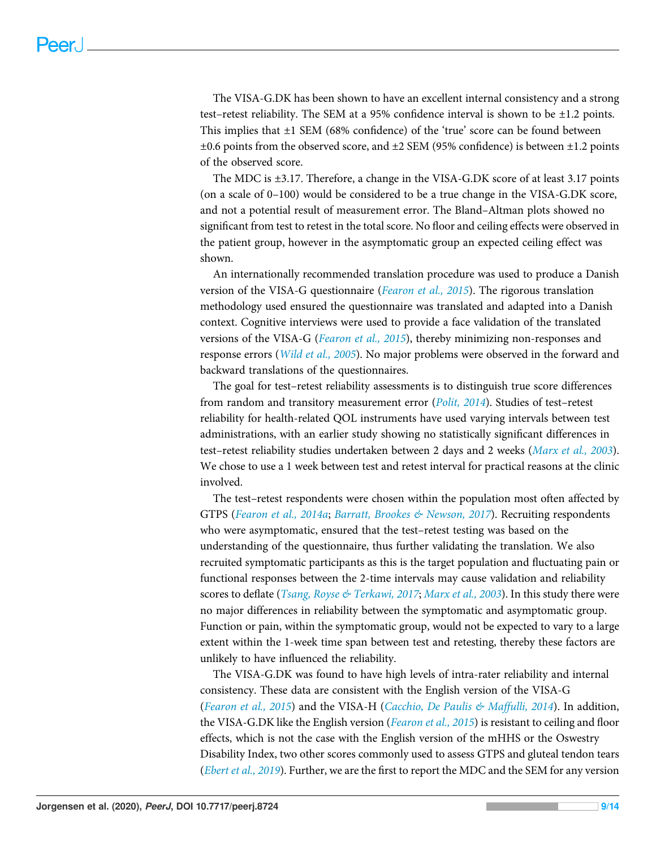The VISA-G.DK has been shown to have an excellent internal consistency and a strong test–retest reliability. The SEM at a 95% confidence interval is shown to be  $\pm 1.2$  points. This implies that ±1 SEM (68% confidence) of the 'true' score can be found between ±0.6 points from the observed score, and ±2 SEM (95% confidence) is between ±1.2 points of the observed score.

The MDC is ±3.17. Therefore, a change in the VISA-G.DK score of at least 3.17 points (on a scale of 0–100) would be considered to be a true change in the VISA-G.DK score, and not a potential result of measurement error. The Bland–Altman plots showed no significant from test to retest in the total score. No floor and ceiling effects were observed in the patient group, however in the asymptomatic group an expected ceiling effect was shown.

An internationally recommended translation procedure was used to produce a Danish version of the VISA-G questionnaire ([Fearon et al., 2015](#page-11-4)). The rigorous translation methodology used ensured the questionnaire was translated and adapted into a Danish context. Cognitive interviews were used to provide a face validation of the translated versions of the VISA-G ([Fearon et al., 2015](#page-11-4)), thereby minimizing non-responses and response errors ([Wild et al., 2005](#page-13-4)). No major problems were observed in the forward and backward translations of the questionnaires.

The goal for test–retest reliability assessments is to distinguish true score differences from random and transitory measurement error (*[Polit, 2014](#page-12-13)*). Studies of test-retest reliability for health-related QOL instruments have used varying intervals between test administrations, with an earlier study showing no statistically significant differences in test–retest reliability studies undertaken between 2 days and 2 weeks ([Marx et al., 2003](#page-12-15)). We chose to use a 1 week between test and retest interval for practical reasons at the clinic involved.

The test–retest respondents were chosen within the population most often affected by GTPS ([Fearon et al., 2014a](#page-11-0); [Barratt, Brookes & Newson, 2017](#page-10-2)). Recruiting respondents who were asymptomatic, ensured that the test–retest testing was based on the understanding of the questionnaire, thus further validating the translation. We also recruited symptomatic participants as this is the target population and fluctuating pain or functional responses between the 2-time intervals may cause validation and reliability scores to deflate ([Tsang, Royse & Terkawi, 2017](#page-13-2); [Marx et al., 2003](#page-12-15)). In this study there were no major differences in reliability between the symptomatic and asymptomatic group. Function or pain, within the symptomatic group, would not be expected to vary to a large extent within the 1-week time span between test and retesting, thereby these factors are unlikely to have influenced the reliability.

The VISA-G.DK was found to have high levels of intra-rater reliability and internal consistency. These data are consistent with the English version of the VISA-G ([Fearon et al., 2015](#page-11-4)) and the VISA-H ([Cacchio, De Paulis & Maffulli, 2014](#page-10-4)). In addition, the VISA-G.DK like the English version ([Fearon et al., 2015](#page-11-4)) is resistant to ceiling and floor effects, which is not the case with the English version of the mHHS or the Oswestry Disability Index, two other scores commonly used to assess GTPS and gluteal tendon tears ([Ebert et al., 2019](#page-11-12)). Further, we are the first to report the MDC and the SEM for any version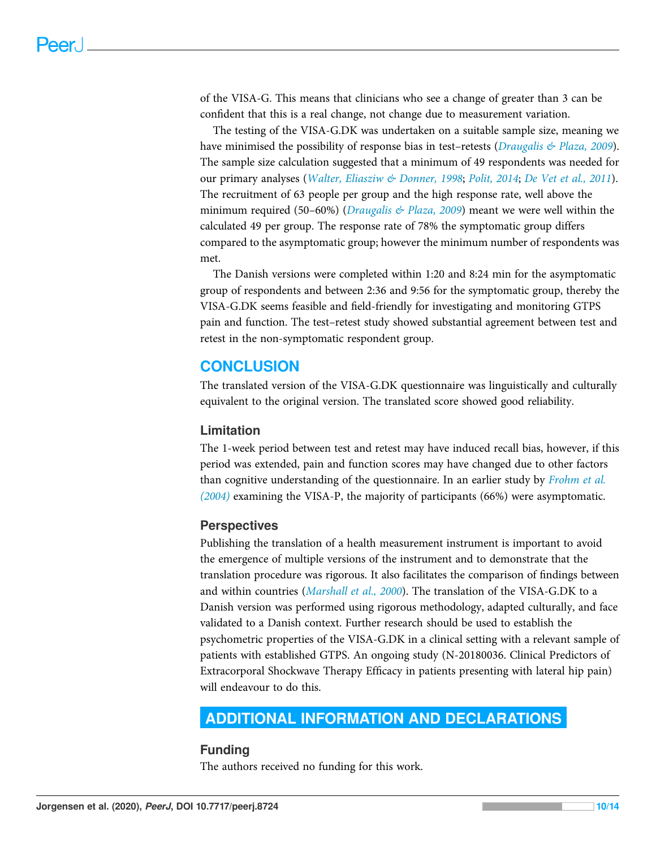of the VISA-G. This means that clinicians who see a change of greater than 3 can be confident that this is a real change, not change due to measurement variation.

The testing of the VISA-G.DK was undertaken on a suitable sample size, meaning we have minimised the possibility of response bias in test-retests (*Draugalis & Plaza*, 2009). The sample size calculation suggested that a minimum of 49 respondents was needed for our primary analyses ([Walter, Eliasziw & Donner, 1998](#page-13-6); [Polit, 2014](#page-12-13); [De Vet et al., 2011](#page-11-13)). The recruitment of 63 people per group and the high response rate, well above the minimum required (50–60%) (Draugalis  $\&$  Plaza, 2009) meant we were well within the calculated 49 per group. The response rate of 78% the symptomatic group differs compared to the asymptomatic group; however the minimum number of respondents was met.

The Danish versions were completed within 1:20 and 8:24 min for the asymptomatic group of respondents and between 2:36 and 9:56 for the symptomatic group, thereby the VISA-G.DK seems feasible and field-friendly for investigating and monitoring GTPS pain and function. The test–retest study showed substantial agreement between test and retest in the non-symptomatic respondent group.

# **CONCLUSION**

The translated version of the VISA-G.DK questionnaire was linguistically and culturally equivalent to the original version. The translated score showed good reliability.

# Limitation

The 1-week period between test and retest may have induced recall bias, however, if this period was extended, pain and function scores may have changed due to other factors than cognitive understanding of the questionnaire. In an earlier study by *[Frohm et al.](#page-11-14)* [\(2004\)](#page-11-14) examining the VISA-P, the majority of participants (66%) were asymptomatic.

# **Perspectives**

Publishing the translation of a health measurement instrument is important to avoid the emergence of multiple versions of the instrument and to demonstrate that the translation procedure was rigorous. It also facilitates the comparison of findings between and within countries ([Marshall et al., 2000](#page-12-16)). The translation of the VISA-G.DK to a Danish version was performed using rigorous methodology, adapted culturally, and face validated to a Danish context. Further research should be used to establish the psychometric properties of the VISA-G.DK in a clinical setting with a relevant sample of patients with established GTPS. An ongoing study (N-20180036. Clinical Predictors of Extracorporal Shockwave Therapy Efficacy in patients presenting with lateral hip pain) will endeavour to do this.

# <span id="page-9-0"></span>ADDITIONAL INFORMATION AND DECLARATIONS

# **Funding**

The authors received no funding for this work.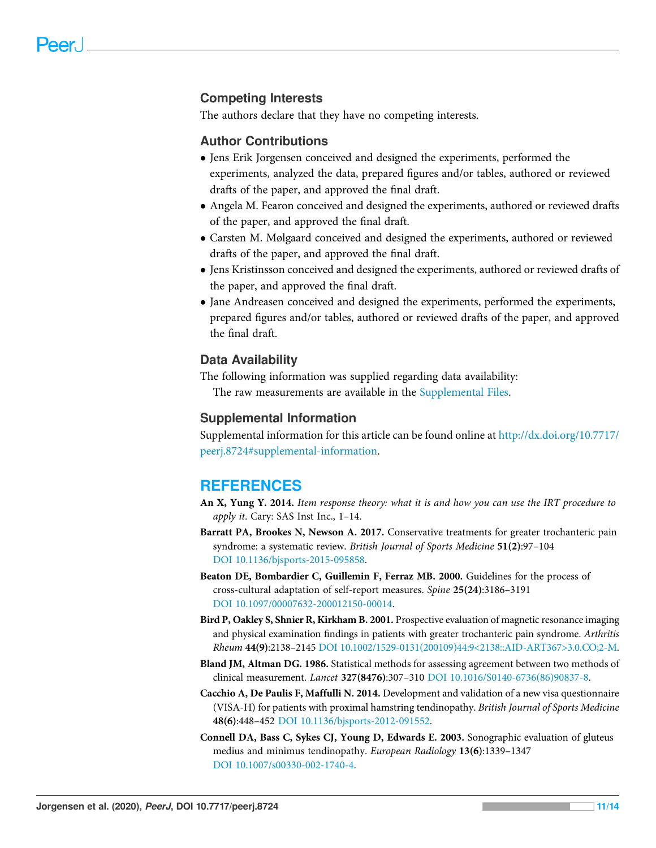# Competing Interests

The authors declare that they have no competing interests.

#### Author Contributions

- Jens Erik Jorgensen conceived and designed the experiments, performed the experiments, analyzed the data, prepared figures and/or tables, authored or reviewed drafts of the paper, and approved the final draft.
- Angela M. Fearon conceived and designed the experiments, authored or reviewed drafts of the paper, and approved the final draft.
- Carsten M. Mølgaard conceived and designed the experiments, authored or reviewed drafts of the paper, and approved the final draft.
- Jens Kristinsson conceived and designed the experiments, authored or reviewed drafts of the paper, and approved the final draft.
- Jane Andreasen conceived and designed the experiments, performed the experiments, prepared figures and/or tables, authored or reviewed drafts of the paper, and approved the final draft.

#### Data Availability

The following information was supplied regarding data availability: The raw measurements are available in the [Supplemental Files.](http://dx.doi.org/10.7717/peerj.8724#supplemental-information)

### Supplemental Information

Supplemental information for this article can be found online at [http://dx.doi.org/10.7717/](http://dx.doi.org/10.7717/peerj.8724#supplemental-information) [peerj.8724#supplemental-information](http://dx.doi.org/10.7717/peerj.8724#supplemental-information).

# <span id="page-10-3"></span>**REFERENCES**

- An X, Yung Y. 2014. Item response theory: what it is and how you can use the IRT procedure to apply it. Cary: SAS Inst Inc., 1–14.
- <span id="page-10-2"></span>Barratt PA, Brookes N, Newson A. 2017. Conservative treatments for greater trochanteric pain syndrome: a systematic review. British Journal of Sports Medicine 51(2):97–104 [DOI 10.1136/bjsports-2015-095858](http://dx.doi.org/10.1136/bjsports-2015-095858).
- <span id="page-10-5"></span>Beaton DE, Bombardier C, Guillemin F, Ferraz MB. 2000. Guidelines for the process of cross-cultural adaptation of self-report measures. Spine 25(24):3186–3191 [DOI 10.1097/00007632-200012150-00014](http://dx.doi.org/10.1097/00007632-200012150-00014).
- <span id="page-10-0"></span>Bird P, Oakley S, Shnier R, Kirkham B. 2001. Prospective evaluation of magnetic resonance imaging and physical examination findings in patients with greater trochanteric pain syndrome. Arthritis Rheum 44(9):2138–2145 [DOI 10.1002/1529-0131\(200109\)44:9<2138::AID-ART367>3.0.CO;2-M.](http://dx.doi.org/10.1002/1529-0131(200109)44:9%3C2138::AID-ART367%3E3.0.CO;2-M)
- <span id="page-10-6"></span>Bland JM, Altman DG. 1986. Statistical methods for assessing agreement between two methods of clinical measurement. Lancet 327(8476):307–310 [DOI 10.1016/S0140-6736\(86\)90837-8](http://dx.doi.org/10.1016/S0140-6736(86)90837-8).
- <span id="page-10-4"></span>Cacchio A, De Paulis F, Maffulli N. 2014. Development and validation of a new visa questionnaire (VISA-H) for patients with proximal hamstring tendinopathy. British Journal of Sports Medicine 48(6):448–452 [DOI 10.1136/bjsports-2012-091552](http://dx.doi.org/10.1136/bjsports-2012-091552).
- <span id="page-10-1"></span>Connell DA, Bass C, Sykes CJ, Young D, Edwards E. 2003. Sonographic evaluation of gluteus medius and minimus tendinopathy. European Radiology 13(6):1339–1347 [DOI 10.1007/s00330-002-1740-4](http://dx.doi.org/10.1007/s00330-002-1740-4).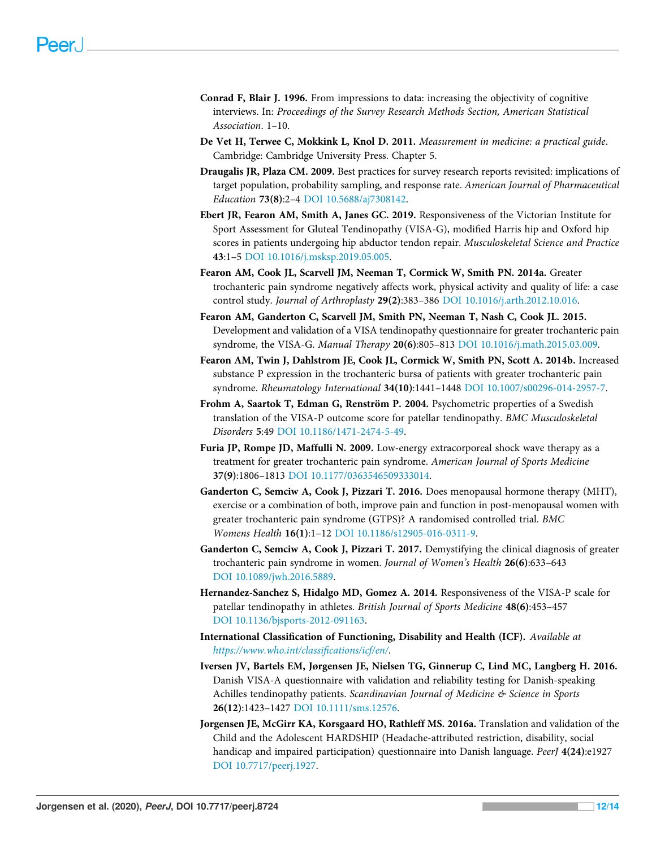- <span id="page-11-10"></span>Conrad F, Blair J. 1996. From impressions to data: increasing the objectivity of cognitive interviews. In: Proceedings of the Survey Research Methods Section, American Statistical Association. 1–10.
- <span id="page-11-13"></span>De Vet H, Terwee C, Mokkink L, Knol D. 2011. Measurement in medicine: a practical guide. Cambridge: Cambridge University Press. Chapter 5.
- <span id="page-11-11"></span>Draugalis JR, Plaza CM. 2009. Best practices for survey research reports revisited: implications of target population, probability sampling, and response rate. American Journal of Pharmaceutical Education 73(8):2–4 [DOI 10.5688/aj7308142](http://dx.doi.org/10.5688/aj7308142).
- <span id="page-11-12"></span>Ebert JR, Fearon AM, Smith A, Janes GC. 2019. Responsiveness of the Victorian Institute for Sport Assessment for Gluteal Tendinopathy (VISA-G), modified Harris hip and Oxford hip scores in patients undergoing hip abductor tendon repair. Musculoskeletal Science and Practice 43:1–5 [DOI 10.1016/j.msksp.2019.05.005.](http://dx.doi.org/10.1016/j.msksp.2019.05.005)
- <span id="page-11-0"></span>Fearon AM, Cook JL, Scarvell JM, Neeman T, Cormick W, Smith PN. 2014a. Greater trochanteric pain syndrome negatively affects work, physical activity and quality of life: a case control study. Journal of Arthroplasty 29(2):383–386 [DOI 10.1016/j.arth.2012.10.016.](http://dx.doi.org/10.1016/j.arth.2012.10.016)
- <span id="page-11-4"></span>Fearon AM, Ganderton C, Scarvell JM, Smith PN, Neeman T, Nash C, Cook JL. 2015. Development and validation of a VISA tendinopathy questionnaire for greater trochanteric pain syndrome, the VISA-G. Manual Therapy 20(6):805–813 [DOI 10.1016/j.math.2015.03.009.](http://dx.doi.org/10.1016/j.math.2015.03.009)
- <span id="page-11-1"></span>Fearon AM, Twin J, Dahlstrom JE, Cook JL, Cormick W, Smith PN, Scott A. 2014b. Increased substance P expression in the trochanteric bursa of patients with greater trochanteric pain syndrome. Rheumatology International 34(10):1441–1448 [DOI 10.1007/s00296-014-2957-7](http://dx.doi.org/10.1007/s00296-014-2957-7).
- <span id="page-11-14"></span>Frohm A, Saartok T, Edman G, Renström P. 2004. Psychometric properties of a Swedish translation of the VISA-P outcome score for patellar tendinopathy. BMC Musculoskeletal Disorders 5:49 [DOI 10.1186/1471-2474-5-49](http://dx.doi.org/10.1186/1471-2474-5-49).
- <span id="page-11-3"></span>Furia JP, Rompe JD, Maffulli N. 2009. Low-energy extracorporeal shock wave therapy as a treatment for greater trochanteric pain syndrome. American Journal of Sports Medicine 37(9):1806–1813 [DOI 10.1177/0363546509333014.](http://dx.doi.org/10.1177/0363546509333014)
- <span id="page-11-2"></span>Ganderton C, Semciw A, Cook J, Pizzari T. 2016. Does menopausal hormone therapy (MHT), exercise or a combination of both, improve pain and function in post-menopausal women with greater trochanteric pain syndrome (GTPS)? A randomised controlled trial. BMC Womens Health 16(1):1–12 [DOI 10.1186/s12905-016-0311-9](http://dx.doi.org/10.1186/s12905-016-0311-9).
- <span id="page-11-9"></span>Ganderton C, Semciw A, Cook J, Pizzari T. 2017. Demystifying the clinical diagnosis of greater trochanteric pain syndrome in women. Journal of Women's Health 26(6):633–643 [DOI 10.1089/jwh.2016.5889](http://dx.doi.org/10.1089/jwh.2016.5889).
- <span id="page-11-5"></span>Hernandez-Sanchez S, Hidalgo MD, Gomez A. 2014. Responsiveness of the VISA-P scale for patellar tendinopathy in athletes. British Journal of Sports Medicine 48(6):453–457 [DOI 10.1136/bjsports-2012-091163](http://dx.doi.org/10.1136/bjsports-2012-091163).
- <span id="page-11-8"></span>International Classification of Functioning, Disability and Health (ICF). Available at [https://www.who.int/classi](https://www.who.int/classifications/icf/en/)fications/icf/en/.
- <span id="page-11-6"></span>Iversen JV, Bartels EM, Jørgensen JE, Nielsen TG, Ginnerup C, Lind MC, Langberg H. 2016. Danish VISA-A questionnaire with validation and reliability testing for Danish-speaking Achilles tendinopathy patients. Scandinavian Journal of Medicine & Science in Sports 26(12):1423–1427 [DOI 10.1111/sms.12576.](http://dx.doi.org/10.1111/sms.12576)
- <span id="page-11-7"></span>Jorgensen JE, McGirr KA, Korsgaard HO, Rathleff MS. 2016a. Translation and validation of the Child and the Adolescent HARDSHIP (Headache-attributed restriction, disability, social handicap and impaired participation) questionnaire into Danish language. PeerJ 4(24):e1927 [DOI 10.7717/peerj.1927.](http://dx.doi.org/10.7717/peerj.1927)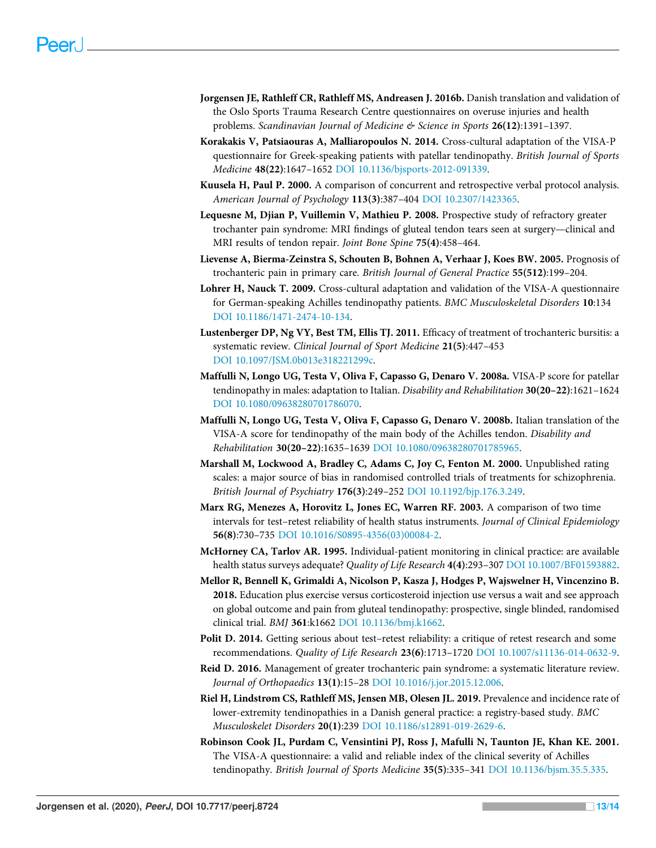- <span id="page-12-11"></span>Jorgensen JE, Rathleff CR, Rathleff MS, Andreasen J. 2016b. Danish translation and validation of the Oslo Sports Trauma Research Centre questionnaires on overuse injuries and health problems. Scandinavian Journal of Medicine & Science in Sports 26(12):1391–1397.
- <span id="page-12-8"></span>Korakakis V, Patsiaouras A, Malliaropoulos N. 2014. Cross-cultural adaptation of the VISA-P questionnaire for Greek-speaking patients with patellar tendinopathy. British Journal of Sports Medicine 48(22):1647–1652 [DOI 10.1136/bjsports-2012-091339.](http://dx.doi.org/10.1136/bjsports-2012-091339)
- <span id="page-12-12"></span>Kuusela H, Paul P. 2000. A comparison of concurrent and retrospective verbal protocol analysis. American Journal of Psychology 113(3):387–404 [DOI 10.2307/1423365.](http://dx.doi.org/10.2307/1423365)
- <span id="page-12-1"></span>Lequesne M, Djian P, Vuillemin V, Mathieu P. 2008. Prospective study of refractory greater trochanter pain syndrome: MRI findings of gluteal tendon tears seen at surgery—clinical and MRI results of tendon repair. Joint Bone Spine 75(4):458–464.
- <span id="page-12-0"></span>Lievense A, Bierma-Zeinstra S, Schouten B, Bohnen A, Verhaar J, Koes BW. 2005. Prognosis of trochanteric pain in primary care. British Journal of General Practice 55(512):199–204.
- <span id="page-12-9"></span>Lohrer H, Nauck T. 2009. Cross-cultural adaptation and validation of the VISA-A questionnaire for German-speaking Achilles tendinopathy patients. BMC Musculoskeletal Disorders 10:134 [DOI 10.1186/1471-2474-10-134.](http://dx.doi.org/10.1186/1471-2474-10-134)
- <span id="page-12-4"></span>Lustenberger DP, Ng VY, Best TM, Ellis TJ. 2011. Efficacy of treatment of trochanteric bursitis: a systematic review. Clinical Journal of Sport Medicine 21(5):447–453 [DOI 10.1097/JSM.0b013e318221299c](http://dx.doi.org/10.1097/JSM.0b013e318221299c).
- <span id="page-12-7"></span>Maffulli N, Longo UG, Testa V, Oliva F, Capasso G, Denaro V. 2008a. VISA-P score for patellar tendinopathy in males: adaptation to Italian. Disability and Rehabilitation 30(20-22):1621-1624 [DOI 10.1080/09638280701786070](http://dx.doi.org/10.1080/09638280701786070).
- <span id="page-12-10"></span>Maffulli N, Longo UG, Testa V, Oliva F, Capasso G, Denaro V. 2008b. Italian translation of the VISA-A score for tendinopathy of the main body of the Achilles tendon. Disability and Rehabilitation 30(20–22):1635–1639 [DOI 10.1080/09638280701785965.](http://dx.doi.org/10.1080/09638280701785965)
- <span id="page-12-16"></span>Marshall M, Lockwood A, Bradley C, Adams C, Joy C, Fenton M. 2000. Unpublished rating scales: a major source of bias in randomised controlled trials of treatments for schizophrenia. British Journal of Psychiatry 176(3):249–252 [DOI 10.1192/bjp.176.3.249.](http://dx.doi.org/10.1192/bjp.176.3.249)
- <span id="page-12-15"></span>Marx RG, Menezes A, Horovitz L, Jones EC, Warren RF. 2003. A comparison of two time intervals for test–retest reliability of health status instruments. Journal of Clinical Epidemiology 56(8):730–735 [DOI 10.1016/S0895-4356\(03\)00084-2.](http://dx.doi.org/10.1016/S0895-4356(03)00084-2)
- <span id="page-12-14"></span>McHorney CA, Tarlov AR. 1995. Individual-patient monitoring in clinical practice: are available health status surveys adequate? Quality of Life Research 4(4):293-307 [DOI 10.1007/BF01593882.](http://dx.doi.org/10.1007/BF01593882)
- <span id="page-12-3"></span>Mellor R, Bennell K, Grimaldi A, Nicolson P, Kasza J, Hodges P, Wajswelner H, Vincenzino B. 2018. Education plus exercise versus corticosteroid injection use versus a wait and see approach on global outcome and pain from gluteal tendinopathy: prospective, single blinded, randomised clinical trial. BMJ 361:k1662 [DOI 10.1136/bmj.k1662](http://dx.doi.org/10.1136/bmj.k1662).
- <span id="page-12-13"></span>Polit D. 2014. Getting serious about test–retest reliability: a critique of retest research and some recommendations. Quality of Life Research 23(6):1713–1720 [DOI 10.1007/s11136-014-0632-9.](http://dx.doi.org/10.1007/s11136-014-0632-9)
- <span id="page-12-5"></span>Reid D. 2016. Management of greater trochanteric pain syndrome: a systematic literature review. Journal of Orthopaedics 13(1):15–28 [DOI 10.1016/j.jor.2015.12.006.](http://dx.doi.org/10.1016/j.jor.2015.12.006)
- <span id="page-12-2"></span>Riel H, Lindstrøm CS, Rathleff MS, Jensen MB, Olesen JL. 2019. Prevalence and incidence rate of lower-extremity tendinopathies in a Danish general practice: a registry-based study. BMC Musculoskelet Disorders 20(1):239 [DOI 10.1186/s12891-019-2629-6.](http://dx.doi.org/10.1186/s12891-019-2629-6)
- <span id="page-12-6"></span>Robinson Cook JL, Purdam C, Vensintini PJ, Ross J, Mafulli N, Taunton JE, Khan KE. 2001. The VISA-A questionnaire: a valid and reliable index of the clinical severity of Achilles tendinopathy. British Journal of Sports Medicine 35(5):335–341 [DOI 10.1136/bjsm.35.5.335.](http://dx.doi.org/10.1136/bjsm.35.5.335)